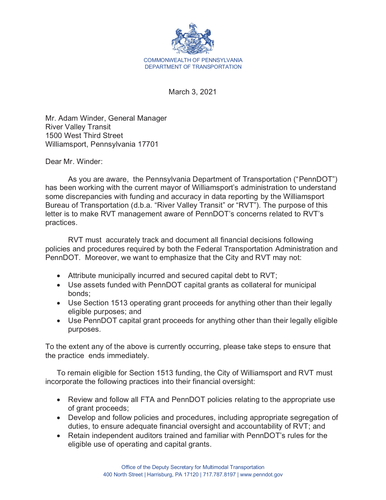

March 3, 2021

Mr. Adam Winder, General Manager River Valley Transit 1500 West Third Street Williamsport, Pennsylvania 17701

Dear Mr. Winder:

As you are aware, the Pennsylvania Department of Transportation ("PennDOT") has been working with the current mayor of Williamsport's administration to understand some discrepancies with funding and accuracy in data reporting by the Williamsport Bureau of Transportation (d.b.a. "River Valley Transit" or "RVT"). The purpose of this letter is to make RVT management aware of PennDOT's concerns related to RVT's practices.

RVT must accurately track and document all financial decisions following policies and procedures required by both the Federal Transportation Administration and PennDOT. Moreover, we want to emphasize that the City and RVT may not:

- $\bullet$  Attribute municipally incurred and secured capital debt to RVT;
- Use assets funded with PennDOT capital grants as collateral for municipal bonds;
- Use Section 1513 operating grant proceeds for anything other than their legally eligible purposes; and
- Use PennDOT capital grant proceeds for anything other than their legally eligible purposes.

To the extent any of the above is currently occurring, please take steps to ensure that the practice ends immediately.

To remain eligible for Section 1513 funding, the City of Williamsport and RVT must incorporate the following practices into their financial oversight:

- Review and follow all FTA and PennDOT policies relating to the appropriate use of grant proceeds;
- Develop and follow policies and procedures, including appropriate segregation of duties, to ensure adequate financial oversight and accountability of RVT; and
- Retain independent auditors trained and familiar with PennDOT's rules for the eligible use of operating and capital grants.